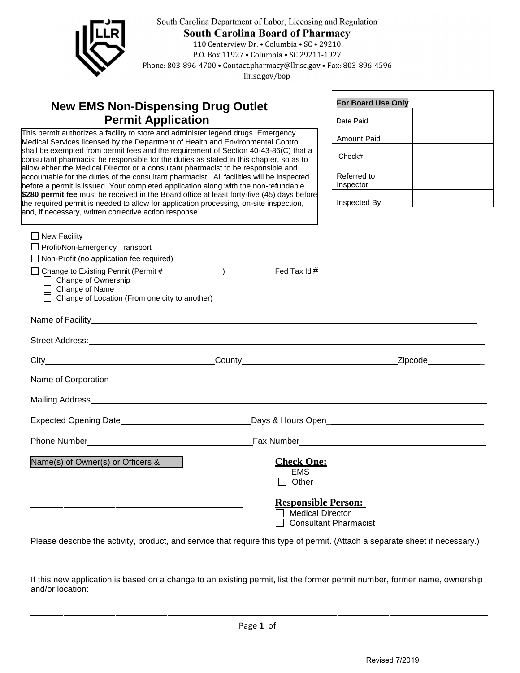

South Carolina Department of Labor, Licensing and Regulation South Carolina Board of Pharmacy<br>110 Centerview Dr. . Columbia . SC . 29210 P.O. Box 11927 . Columbia . SC 29211-1927

Phone: 803-896-4700 • Contact.pharmacy@llr.sc.gov • Fax: 803-896-4596

llr.sc.gov/bop

## **New EMS Non-Dispensing Drug Outlet Permit Application**

allow entier the medical Difector or a consultant pharmacist to be responsible and<br>accountable for the duties of the consultant pharmacist. All facilities will be inspected This permit authorizes a facility to store and administer legend drugs. Emergency Medical Services licensed by the Department of Health and Environmental Control shall be exempted from permit fees and the requirement of Section 40-43-86(C) that a consultant pharmacist be responsible for the duties as stated in this chapter, so as to allow either the Medical Director or a consultant pharmacist to be responsible and before a permit is issued. Your completed application along with the non-refundable **\$280 permit fee** must be received in the Board office at least forty-five (45) days before the required permit is needed to allow for application processing, on-site inspection, and, if necessary, written corrective action response.

| <b>For Board Use Only</b> |  |  |
|---------------------------|--|--|
| Date Paid                 |  |  |
| Amount Paid               |  |  |
| Check#                    |  |  |
| Referred to<br>Inspector  |  |  |
| Inspected By              |  |  |

| New Facility                                                                                                                                                                                                                         |                                                                                       |  |
|--------------------------------------------------------------------------------------------------------------------------------------------------------------------------------------------------------------------------------------|---------------------------------------------------------------------------------------|--|
| Profit/Non-Emergency Transport                                                                                                                                                                                                       |                                                                                       |  |
| $\Box$ Non-Profit (no application fee required)                                                                                                                                                                                      |                                                                                       |  |
| □ Change of Ownership<br>□ Change of Name<br>□ Change of Location (From one city to another)                                                                                                                                         |                                                                                       |  |
| Name of Facility <b>All and Security Contract Contract Contract Contract Contract Contract Contract Contract Contract Contract Contract Contract Contract Contract Contract Contract Contract Contract Contract Contract Contrac</b> |                                                                                       |  |
| Street Address: No. 2014 19:30 19:30 19:30 19:30 19:30 19:30 19:30 19:30 19:30 19:30 19:30 19:30 19:30 19:30 1                                                                                                                       |                                                                                       |  |
|                                                                                                                                                                                                                                      |                                                                                       |  |
|                                                                                                                                                                                                                                      |                                                                                       |  |
|                                                                                                                                                                                                                                      |                                                                                       |  |
|                                                                                                                                                                                                                                      |                                                                                       |  |
|                                                                                                                                                                                                                                      |                                                                                       |  |
| Name(s) of Owner(s) or Officers &                                                                                                                                                                                                    | <b>Check One:</b><br>EMS                                                              |  |
| <u> 1990 - Jan James James James James James James James James James James James James James James James James J</u>                                                                                                                 | <b>Responsible Person:</b><br><b>Medical Director</b><br><b>Consultant Pharmacist</b> |  |

Please describe the activity, product, and service that require this type of permit. (Attach a separate sheet if necessary.)

If this new application is based on a change to an existing permit, list the former permit number, former name, ownership and/or location: